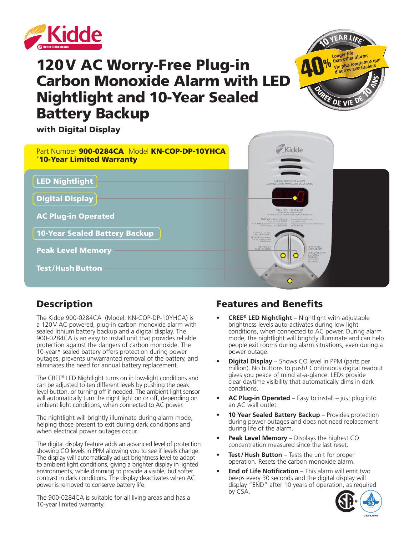

# 120V AC Worry-Free Plug-in Carbon Monoxide Alarm with LED Nightlight and 10-Year Sealed Battery Backup



with Digital Display



# **Description**

The Kidde 900-0284CA (Model: KN-COP-DP-10YHCA) is a 120V AC powered, plug-in carbon monoxide alarm with sealed lithium battery backup and a digital display. The 900-0284CA is an easy to install unit that provides reliable protection against the dangers of carbon monoxide. The 10-year\* sealed battery offers protection during power outages, prevents unwarranted removal of the battery, and eliminates the need for annual battery replacement.

The CREE® LED Nightlight turns on in low-light conditions and can be adjusted to ten different levels by pushing the peak level button, or turning off if needed. The ambient light sensor will automatically turn the night light on or off, depending on ambient light conditions, when connected to AC power.

The nightlight will brightly illuminate during alarm mode, helping those present to exit during dark conditions and when electrical power outages occur.

The digital display feature adds an advanced level of protection showing CO levels in PPM allowing you to see if levels change. The display will automatically adjust brightness level to adapt to ambient light conditions, giving a brighter display in lighted environments, while dimming to provide a visible, but softer contrast in dark conditions. The display deactivates when AC power is removed to conserve battery life.

The 900-0284CA is suitable for all living areas and has a 10-year limited warranty.

# Features and Benefits

- **• CREE® LED Nightlight** Nightlight with adjustable brightness levels auto-activates during low light conditions, when connected to AC power. During alarm mode, the nightlight will brightly illuminate and can help people exit rooms during alarm situations, even during a power outage.
- **• Digital Display** Shows CO level in PPM (parts per million). No buttons to push! Continuous digital readout gives you peace of mind at-a-glance. LEDs provide clear daytime visibility that automatically dims in dark conditions.
- **• AC Plug-in Operated** Easy to install just plug into an AC wall outlet.
- **10 Year Sealed Battery Backup** Provides protection during power outages and does not need replacement during life of the alarm.
- **• Peak Level Memory** Displays the highest CO concentration measured since the last reset.
- **• Test/Hush Button** Tests the unit for proper operation. Resets the carbon monoxide alarm.
- **• End of Life Notification**  This alarm will emit two beeps every 30 seconds and the digital display will display "END" after 10 years of operation, as required by CSA.